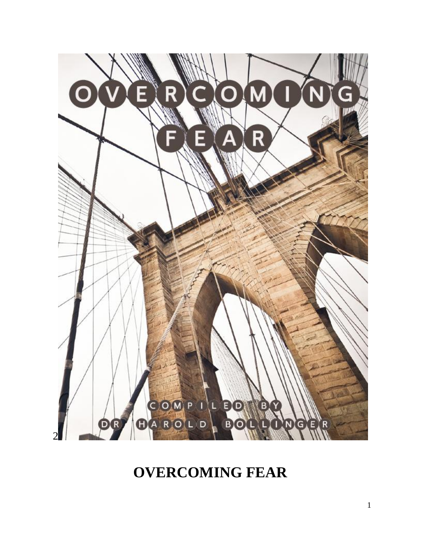

# **OVERCOMING FEAR**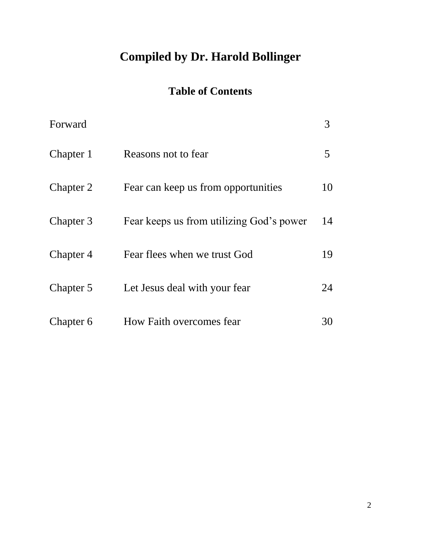# **Compiled by Dr. Harold Bollinger**

# **Table of Contents**

| Forward   |                                          | 3  |
|-----------|------------------------------------------|----|
| Chapter 1 | Reasons not to fear                      | 5  |
| Chapter 2 | Fear can keep us from opportunities      | 10 |
| Chapter 3 | Fear keeps us from utilizing God's power | 14 |
| Chapter 4 | Fear flees when we trust God             | 19 |
| Chapter 5 | Let Jesus deal with your fear            | 24 |
| Chapter 6 | How Faith overcomes fear                 | 30 |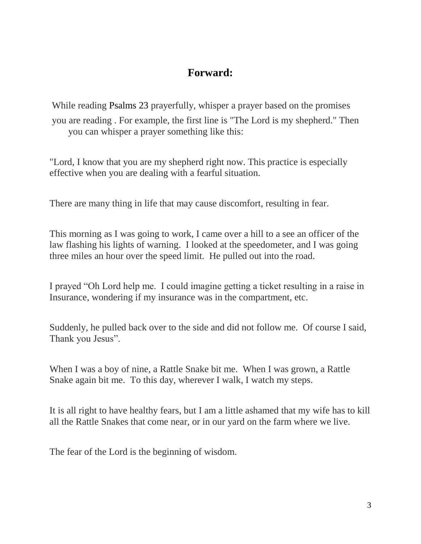#### **Forward:**

While reading Psalms 23 prayerfully, whisper a prayer based on the promises you are reading . For example, the first line is "The Lord is my shepherd." Then you can whisper a prayer something like this:

"Lord, I know that you are my shepherd right now. This practice is especially effective when you are dealing with a fearful situation.

There are many thing in life that may cause discomfort, resulting in fear.

This morning as I was going to work, I came over a hill to a see an officer of the law flashing his lights of warning. I looked at the speedometer, and I was going three miles an hour over the speed limit. He pulled out into the road.

I prayed "Oh Lord help me. I could imagine getting a ticket resulting in a raise in Insurance, wondering if my insurance was in the compartment, etc.

Suddenly, he pulled back over to the side and did not follow me. Of course I said, Thank you Jesus".

When I was a boy of nine, a Rattle Snake bit me. When I was grown, a Rattle Snake again bit me. To this day, wherever I walk, I watch my steps.

It is all right to have healthy fears, but I am a little ashamed that my wife has to kill all the Rattle Snakes that come near, or in our yard on the farm where we live.

The fear of the Lord is the beginning of wisdom.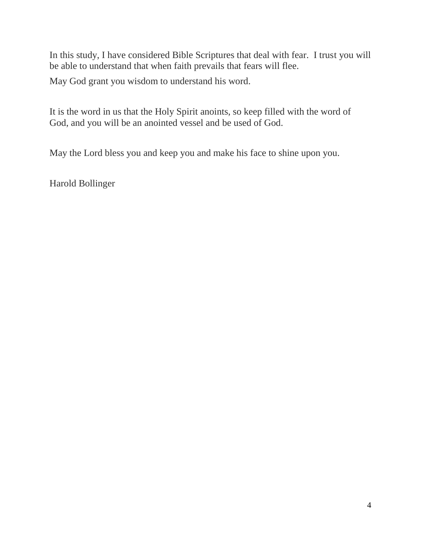In this study, I have considered Bible Scriptures that deal with fear. I trust you will be able to understand that when faith prevails that fears will flee.

May God grant you wisdom to understand his word.

It is the word in us that the Holy Spirit anoints, so keep filled with the word of God, and you will be an anointed vessel and be used of God.

May the Lord bless you and keep you and make his face to shine upon you.

Harold Bollinger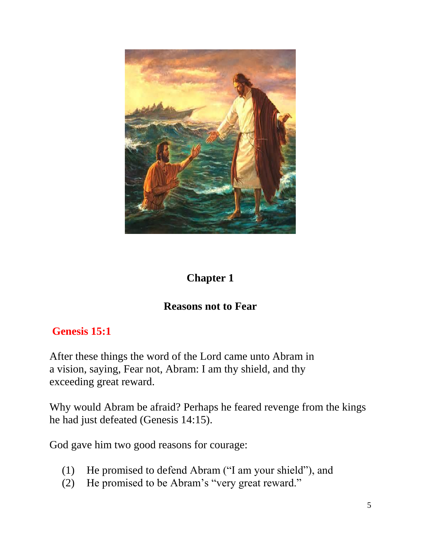

#### **Chapter 1**

#### **Reasons not to Fear**

#### **Genesis 15:1**

After these things the word of the Lord came unto Abram in a vision, saying, Fear not, Abram: I am thy shield, and thy exceeding great reward.

Why would Abram be afraid? Perhaps he feared revenge from the kings he had just defeated (Genesis 14:15).

God gave him two good reasons for courage:

- (1) He promised to defend Abram ("I am your shield"), and
- (2) He promised to be Abram's "very great reward."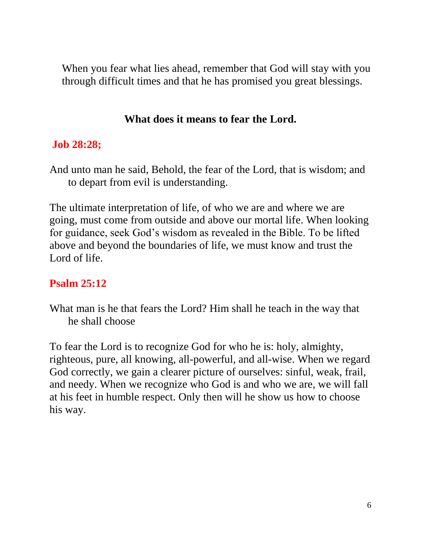When you fear what lies ahead, remember that God will stay with you through difficult times and that he has promised you great blessings.

#### **What does it means to fear the Lord.**

#### **Job 28:28;**

And unto man he said, Behold, the fear of the Lord, that is wisdom; and to depart from evil is understanding.

The ultimate interpretation of life, of who we are and where we are going, must come from outside and above our mortal life. When looking for guidance, seek God's wisdom as revealed in the Bible. To be lifted above and beyond the boundaries of life, we must know and trust the Lord of life.

#### **Psalm 25:12**

What man is he that fears the Lord? Him shall he teach in the way that he shall choose

To fear the Lord is to recognize God for who he is: holy, almighty, righteous, pure, all knowing, all-powerful, and all-wise. When we regard God correctly, we gain a clearer picture of ourselves: sinful, weak, frail, and needy. When we recognize who God is and who we are, we will fall at his feet in humble respect. Only then will he show us how to choose his way.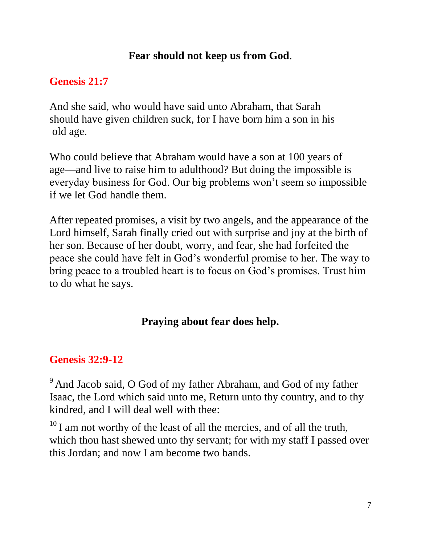#### **Fear should not keep us from God**.

## **Genesis 21:7**

And she said, who would have said unto Abraham, that Sarah should have given children suck, for I have born him a son in his old age.

Who could believe that Abraham would have a son at 100 years of age—and live to raise him to adulthood? But doing the impossible is everyday business for God. Our big problems won't seem so impossible if we let God handle them.

After repeated promises, a visit by two angels, and the appearance of the Lord himself, Sarah finally cried out with surprise and joy at the birth of her son. Because of her doubt, worry, and fear, she had forfeited the peace she could have felt in God's wonderful promise to her. The way to bring peace to a troubled heart is to focus on God's promises. Trust him to do what he says.

# **Praying about fear does help.**

# **Genesis 32:9-12**

 $9$  And Jacob said, O God of my father Abraham, and God of my father Isaac, the Lord which said unto me, Return unto thy country, and to thy kindred, and I will deal well with thee:

 $10$  I am not worthy of the least of all the mercies, and of all the truth, which thou hast shewed unto thy servant; for with my staff I passed over this Jordan; and now I am become two bands.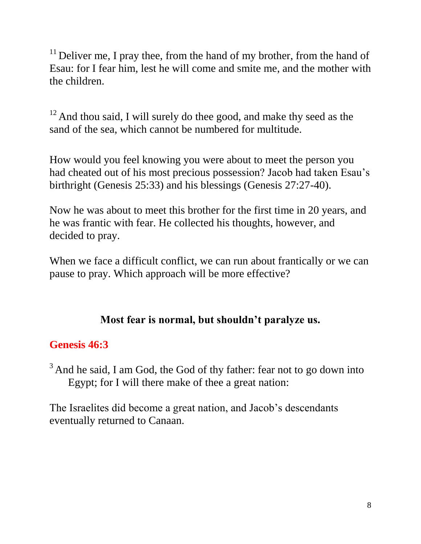$11$  Deliver me, I pray thee, from the hand of my brother, from the hand of Esau: for I fear him, lest he will come and smite me, and the mother with the children.

 $12$  And thou said, I will surely do thee good, and make thy seed as the sand of the sea, which cannot be numbered for multitude.

How would you feel knowing you were about to meet the person you had cheated out of his most precious possession? Jacob had taken Esau's birthright (Genesis 25:33) and his blessings (Genesis 27:27-40).

Now he was about to meet this brother for the first time in 20 years, and he was frantic with fear. He collected his thoughts, however, and decided to pray.

When we face a difficult conflict, we can run about frantically or we can pause to pray. Which approach will be more effective?

## **Most fear is normal, but shouldn't paralyze us.**

## **Genesis 46:3**

 $3$  And he said, I am God, the God of thy father: fear not to go down into Egypt; for I will there make of thee a great nation:

The Israelites did become a great nation, and Jacob's descendants eventually returned to Canaan.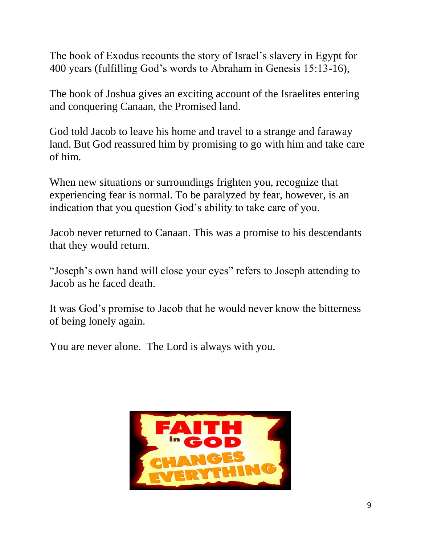The book of Exodus recounts the story of Israel's slavery in Egypt for 400 years (fulfilling God's words to Abraham in Genesis 15:13-16),

The book of Joshua gives an exciting account of the Israelites entering and conquering Canaan, the Promised land.

God told Jacob to leave his home and travel to a strange and faraway land. But God reassured him by promising to go with him and take care of him.

When new situations or surroundings frighten you, recognize that experiencing fear is normal. To be paralyzed by fear, however, is an indication that you question God's ability to take care of you.

Jacob never returned to Canaan. This was a promise to his descendants that they would return.

"Joseph's own hand will close your eyes" refers to Joseph attending to Jacob as he faced death.

It was God's promise to Jacob that he would never know the bitterness of being lonely again.

You are never alone. The Lord is always with you.

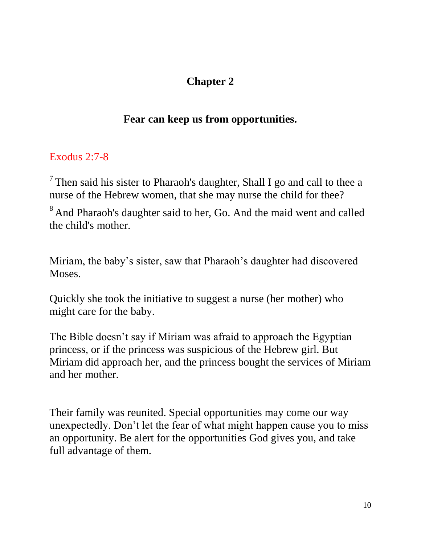# **Chapter 2**

## **Fear can keep us from opportunities.**

#### Exodus 2:7-8

<sup>7</sup> Then said his sister to Pharaoh's daughter, Shall I go and call to thee a nurse of the Hebrew women, that she may nurse the child for thee?

<sup>8</sup> And Pharaoh's daughter said to her, Go. And the maid went and called the child's mother.

Miriam, the baby's sister, saw that Pharaoh's daughter had discovered Moses.

Quickly she took the initiative to suggest a nurse (her mother) who might care for the baby.

The Bible doesn't say if Miriam was afraid to approach the Egyptian princess, or if the princess was suspicious of the Hebrew girl. But Miriam did approach her, and the princess bought the services of Miriam and her mother.

Their family was reunited. Special opportunities may come our way unexpectedly. Don't let the fear of what might happen cause you to miss an opportunity. Be alert for the opportunities God gives you, and take full advantage of them.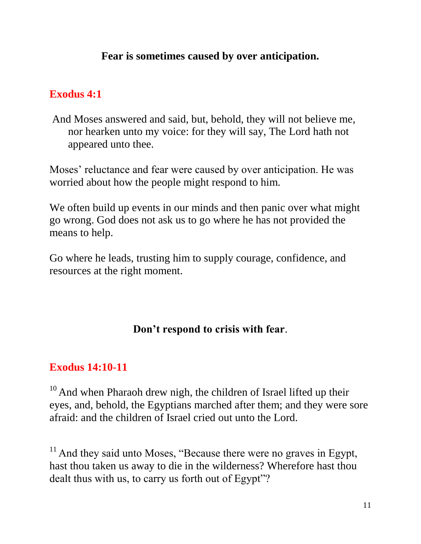#### **Fear is sometimes caused by over anticipation.**

#### **Exodus 4:1**

And Moses answered and said, but, behold, they will not believe me, nor hearken unto my voice: for they will say, The Lord hath not appeared unto thee.

Moses' reluctance and fear were caused by over anticipation. He was worried about how the people might respond to him.

We often build up events in our minds and then panic over what might go wrong. God does not ask us to go where he has not provided the means to help.

Go where he leads, trusting him to supply courage, confidence, and resources at the right moment.

#### **Don't respond to crisis with fear**.

#### **Exodus 14:10-11**

 $10$  And when Pharaoh drew nigh, the children of Israel lifted up their eyes, and, behold, the Egyptians marched after them; and they were sore afraid: and the children of Israel cried out unto the Lord.

 $11$  And they said unto Moses, "Because there were no graves in Egypt, hast thou taken us away to die in the wilderness? Wherefore hast thou dealt thus with us, to carry us forth out of Egypt"?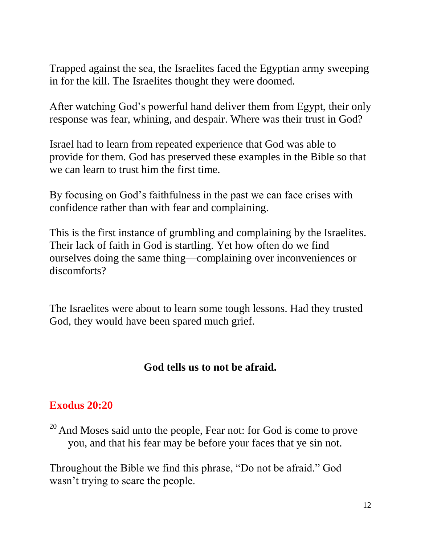Trapped against the sea, the Israelites faced the Egyptian army sweeping in for the kill. The Israelites thought they were doomed.

After watching God's powerful hand deliver them from Egypt, their only response was fear, whining, and despair. Where was their trust in God?

Israel had to learn from repeated experience that God was able to provide for them. God has preserved these examples in the Bible so that we can learn to trust him the first time.

By focusing on God's faithfulness in the past we can face crises with confidence rather than with fear and complaining.

This is the first instance of grumbling and complaining by the Israelites. Their lack of faith in God is startling. Yet how often do we find ourselves doing the same thing—complaining over inconveniences or discomforts?

The Israelites were about to learn some tough lessons. Had they trusted God, they would have been spared much grief.

#### **God tells us to not be afraid.**

#### **Exodus 20:20**

 $20$  And Moses said unto the people, Fear not: for God is come to prove you, and that his fear may be before your faces that ye sin not.

Throughout the Bible we find this phrase, "Do not be afraid." God wasn't trying to scare the people.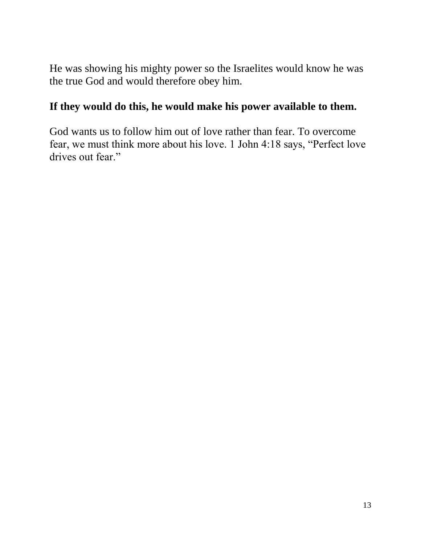He was showing his mighty power so the Israelites would know he was the true God and would therefore obey him.

#### **If they would do this, he would make his power available to them.**

God wants us to follow him out of love rather than fear. To overcome fear, we must think more about his love. 1 John 4:18 says, "Perfect love drives out fear."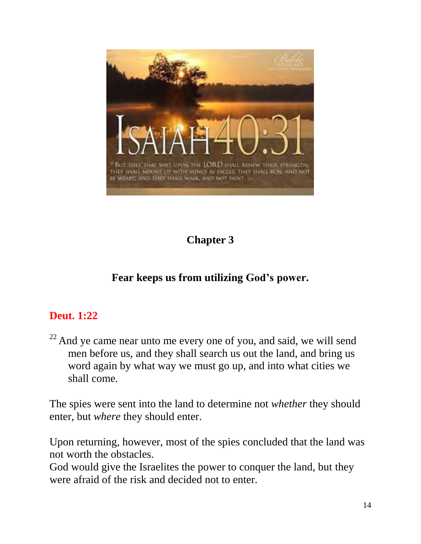

# **Chapter 3**

# **Fear keeps us from utilizing God's power.**

#### **Deut. 1:22**

 $22$  And ye came near unto me every one of you, and said, we will send men before us, and they shall search us out the land, and bring us word again by what way we must go up, and into what cities we shall come.

The spies were sent into the land to determine not *whether* they should enter, but *where* they should enter.

Upon returning, however, most of the spies concluded that the land was not worth the obstacles.

God would give the Israelites the power to conquer the land, but they were afraid of the risk and decided not to enter.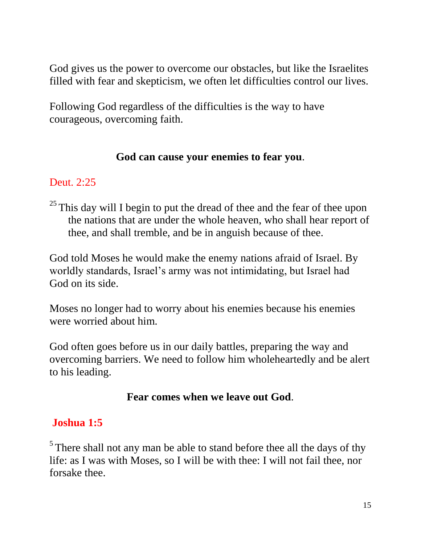God gives us the power to overcome our obstacles, but like the Israelites filled with fear and skepticism, we often let difficulties control our lives.

Following God regardless of the difficulties is the way to have courageous, overcoming faith.

#### **God can cause your enemies to fear you**.

#### Deut. 2:25

 $25$  This day will I begin to put the dread of thee and the fear of thee upon the nations that are under the whole heaven, who shall hear report of thee, and shall tremble, and be in anguish because of thee.

God told Moses he would make the enemy nations afraid of Israel. By worldly standards, Israel's army was not intimidating, but Israel had God on its side.

Moses no longer had to worry about his enemies because his enemies were worried about him.

God often goes before us in our daily battles, preparing the way and overcoming barriers. We need to follow him wholeheartedly and be alert to his leading.

#### **Fear comes when we leave out God**.

#### **Joshua 1:5**

 $<sup>5</sup>$  There shall not any man be able to stand before thee all the days of thy</sup> life: as I was with Moses, so I will be with thee: I will not fail thee, nor forsake thee.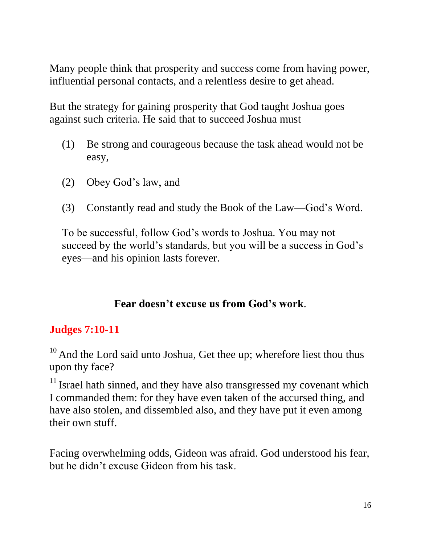Many people think that prosperity and success come from having power, influential personal contacts, and a relentless desire to get ahead.

But the strategy for gaining prosperity that God taught Joshua goes against such criteria. He said that to succeed Joshua must

- (1) Be strong and courageous because the task ahead would not be easy,
- (2) Obey God's law, and
- (3) Constantly read and study the Book of the Law—God's Word.

To be successful, follow God's words to Joshua. You may not succeed by the world's standards, but you will be a success in God's eyes—and his opinion lasts forever.

#### **Fear doesn't excuse us from God's work**.

#### **Judges 7:10-11**

 $10$  And the Lord said unto Joshua, Get thee up; wherefore liest thou thus upon thy face?

 $11$  Israel hath sinned, and they have also transgressed my covenant which I commanded them: for they have even taken of the accursed thing, and have also stolen, and dissembled also, and they have put it even among their own stuff.

Facing overwhelming odds, Gideon was afraid. God understood his fear, but he didn't excuse Gideon from his task.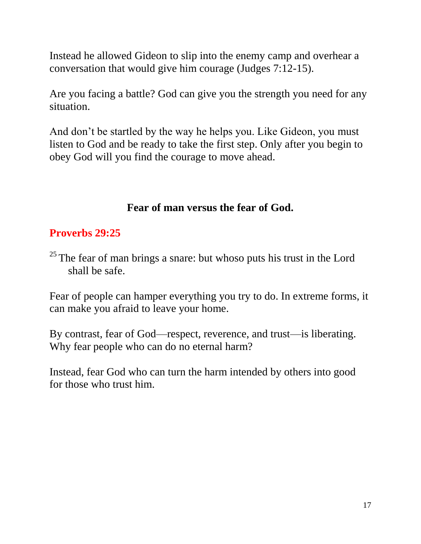Instead he allowed Gideon to slip into the enemy camp and overhear a conversation that would give him courage (Judges 7:12-15).

Are you facing a battle? God can give you the strength you need for any situation.

And don't be startled by the way he helps you. Like Gideon, you must listen to God and be ready to take the first step. Only after you begin to obey God will you find the courage to move ahead.

## **Fear of man versus the fear of God.**

## **Proverbs 29:25**

 $25$  The fear of man brings a snare: but whoso puts his trust in the Lord shall be safe.

Fear of people can hamper everything you try to do. In extreme forms, it can make you afraid to leave your home.

By contrast, fear of God—respect, reverence, and trust—is liberating. Why fear people who can do no eternal harm?

Instead, fear God who can turn the harm intended by others into good for those who trust him.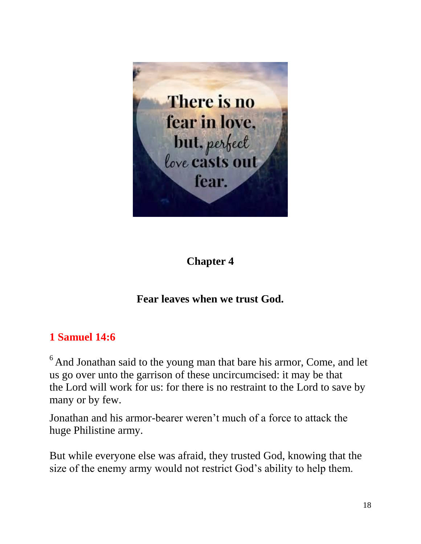

## **Chapter 4**

## **Fear leaves when we trust God.**

## **1 Samuel 14:6**

<sup>6</sup> And Jonathan said to the young man that bare his armor, Come, and let us go over unto the garrison of these uncircumcised: it may be that the Lord will work for us: for there is no restraint to the Lord to save by many or by few.

Jonathan and his armor-bearer weren't much of a force to attack the huge Philistine army.

But while everyone else was afraid, they trusted God, knowing that the size of the enemy army would not restrict God's ability to help them.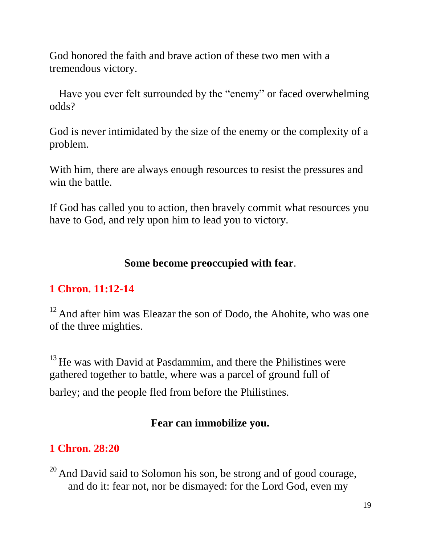God honored the faith and brave action of these two men with a tremendous victory.

Have you ever felt surrounded by the "enemy" or faced overwhelming odds?

God is never intimidated by the size of the enemy or the complexity of a problem.

With him, there are always enough resources to resist the pressures and win the battle.

If God has called you to action, then bravely commit what resources you have to God, and rely upon him to lead you to victory.

#### **Some become preoccupied with fear**.

#### **1 Chron. 11:12-14**

 $12$  And after him was Eleazar the son of Dodo, the Ahohite, who was one of the three mighties.

<sup>13</sup> He was with David at Pasdammim, and there the Philistines were gathered together to battle, where was a parcel of ground full of

barley; and the people fled from before the Philistines.

#### **Fear can immobilize you.**

# **1 Chron. 28:20**

 $20$  And David said to Solomon his son, be strong and of good courage, and do it: fear not, nor be dismayed: for the Lord God, even my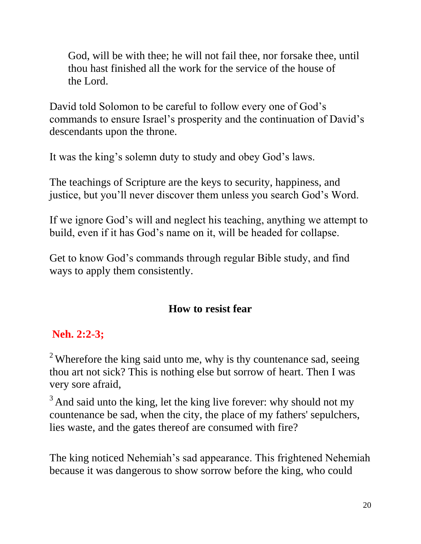God, will be with thee; he will not fail thee, nor forsake thee, until thou hast finished all the work for the service of the house of the Lord.

David told Solomon to be careful to follow every one of God's commands to ensure Israel's prosperity and the continuation of David's descendants upon the throne.

It was the king's solemn duty to study and obey God's laws.

The teachings of Scripture are the keys to security, happiness, and justice, but you'll never discover them unless you search God's Word.

If we ignore God's will and neglect his teaching, anything we attempt to build, even if it has God's name on it, will be headed for collapse.

Get to know God's commands through regular Bible study, and find ways to apply them consistently.

## **How to resist fear**

## **Neh. 2:2-3;**

 $2$  Wherefore the king said unto me, why is thy countenance sad, seeing thou art not sick? This is nothing else but sorrow of heart. Then I was very sore afraid,

 $3$  And said unto the king, let the king live forever: why should not my countenance be sad, when the city, the place of my fathers' sepulchers, lies waste, and the gates thereof are consumed with fire?

The king noticed Nehemiah's sad appearance. This frightened Nehemiah because it was dangerous to show sorrow before the king, who could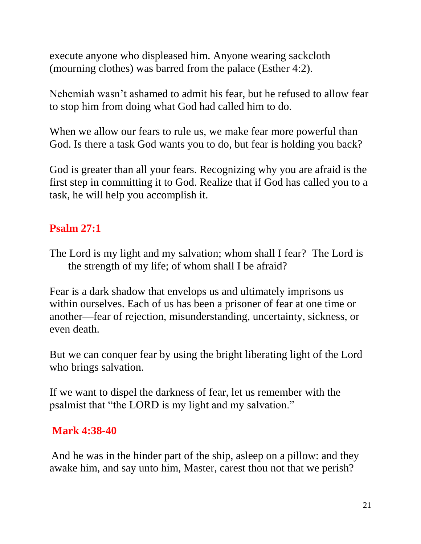execute anyone who displeased him. Anyone wearing sackcloth (mourning clothes) was barred from the palace (Esther 4:2).

Nehemiah wasn't ashamed to admit his fear, but he refused to allow fear to stop him from doing what God had called him to do.

When we allow our fears to rule us, we make fear more powerful than God. Is there a task God wants you to do, but fear is holding you back?

God is greater than all your fears. Recognizing why you are afraid is the first step in committing it to God. Realize that if God has called you to a task, he will help you accomplish it.

## **Psalm 27:1**

The Lord is my light and my salvation; whom shall I fear? The Lord is the strength of my life; of whom shall I be afraid?

Fear is a dark shadow that envelops us and ultimately imprisons us within ourselves. Each of us has been a prisoner of fear at one time or another—fear of rejection, misunderstanding, uncertainty, sickness, or even death.

But we can conquer fear by using the bright liberating light of the Lord who brings salvation.

If we want to dispel the darkness of fear, let us remember with the psalmist that "the LORD is my light and my salvation."

## **Mark 4:38-40**

And he was in the hinder part of the ship, asleep on a pillow: and they awake him, and say unto him, Master, carest thou not that we perish?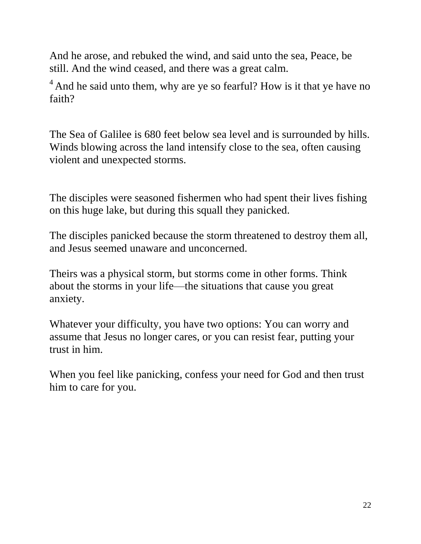And he arose, and rebuked the wind, and said unto the sea, Peace, be still. And the wind ceased, and there was a great calm.

 $<sup>4</sup>$  And he said unto them, why are ye so fearful? How is it that ye have no</sup> faith?

The Sea of Galilee is 680 feet below sea level and is surrounded by hills. Winds blowing across the land intensify close to the sea, often causing violent and unexpected storms.

The disciples were seasoned fishermen who had spent their lives fishing on this huge lake, but during this squall they panicked.

The disciples panicked because the storm threatened to destroy them all, and Jesus seemed unaware and unconcerned.

Theirs was a physical storm, but storms come in other forms. Think about the storms in your life—the situations that cause you great anxiety.

Whatever your difficulty, you have two options: You can worry and assume that Jesus no longer cares, or you can resist fear, putting your trust in him.

When you feel like panicking, confess your need for God and then trust him to care for you.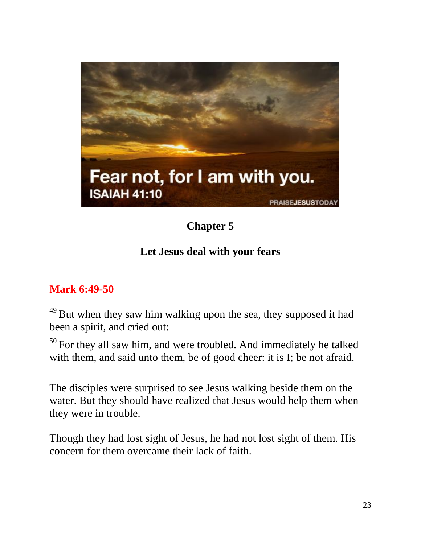

# **Chapter 5**

## **Let Jesus deal with your fears**

#### **Mark 6:49-50**

 $49$  But when they saw him walking upon the sea, they supposed it had been a spirit, and cried out:

 $50$  For they all saw him, and were troubled. And immediately he talked with them, and said unto them, be of good cheer: it is I; be not afraid.

The disciples were surprised to see Jesus walking beside them on the water. But they should have realized that Jesus would help them when they were in trouble.

Though they had lost sight of Jesus, he had not lost sight of them. His concern for them overcame their lack of faith.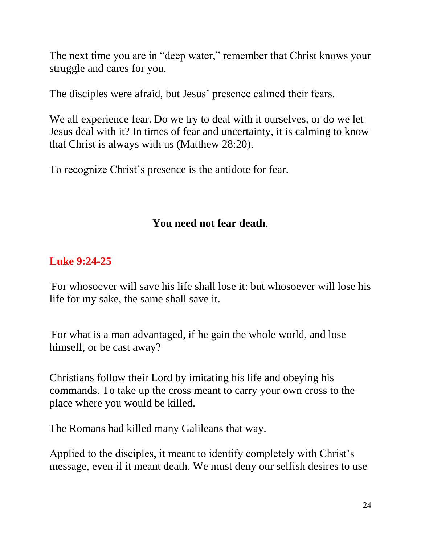The next time you are in "deep water," remember that Christ knows your struggle and cares for you.

The disciples were afraid, but Jesus' presence calmed their fears.

We all experience fear. Do we try to deal with it ourselves, or do we let Jesus deal with it? In times of fear and uncertainty, it is calming to know that Christ is always with us (Matthew 28:20).

To recognize Christ's presence is the antidote for fear.

## **You need not fear death**.

## **Luke 9:24-25**

For whosoever will save his life shall lose it: but whosoever will lose his life for my sake, the same shall save it.

For what is a man advantaged, if he gain the whole world, and lose himself, or be cast away?

Christians follow their Lord by imitating his life and obeying his commands. To take up the cross meant to carry your own cross to the place where you would be killed.

The Romans had killed many Galileans that way.

Applied to the disciples, it meant to identify completely with Christ's message, even if it meant death. We must deny our selfish desires to use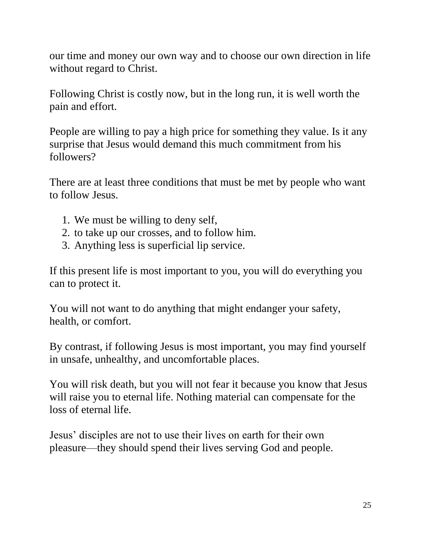our time and money our own way and to choose our own direction in life without regard to Christ.

Following Christ is costly now, but in the long run, it is well worth the pain and effort.

People are willing to pay a high price for something they value. Is it any surprise that Jesus would demand this much commitment from his followers?

There are at least three conditions that must be met by people who want to follow Jesus.

- 1. We must be willing to deny self,
- 2. to take up our crosses, and to follow him.
- 3. Anything less is superficial lip service.

If this present life is most important to you, you will do everything you can to protect it.

You will not want to do anything that might endanger your safety, health, or comfort.

By contrast, if following Jesus is most important, you may find yourself in unsafe, unhealthy, and uncomfortable places.

You will risk death, but you will not fear it because you know that Jesus will raise you to eternal life. Nothing material can compensate for the loss of eternal life.

Jesus' disciples are not to use their lives on earth for their own pleasure—they should spend their lives serving God and people.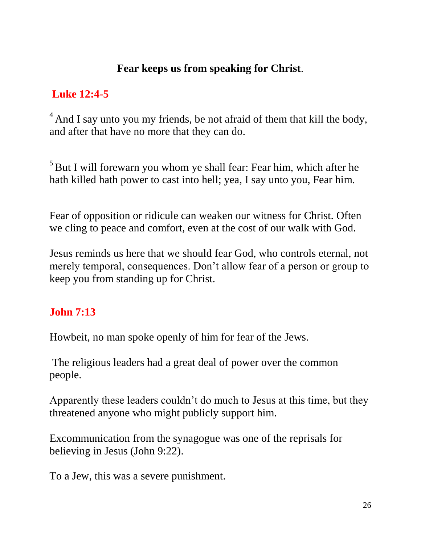#### **Fear keeps us from speaking for Christ**.

# **Luke 12:4-5**

 $<sup>4</sup>$  And I say unto you my friends, be not afraid of them that kill the body,</sup> and after that have no more that they can do.

 $<sup>5</sup>$  But I will forewarn you whom ye shall fear: Fear him, which after he</sup> hath killed hath power to cast into hell; yea, I say unto you, Fear him.

Fear of opposition or ridicule can weaken our witness for Christ. Often we cling to peace and comfort, even at the cost of our walk with God.

Jesus reminds us here that we should fear God, who controls eternal, not merely temporal, consequences. Don't allow fear of a person or group to keep you from standing up for Christ.

# **John 7:13**

Howbeit, no man spoke openly of him for fear of the Jews.

The religious leaders had a great deal of power over the common people.

Apparently these leaders couldn't do much to Jesus at this time, but they threatened anyone who might publicly support him.

Excommunication from the synagogue was one of the reprisals for believing in Jesus (John 9:22).

To a Jew, this was a severe punishment.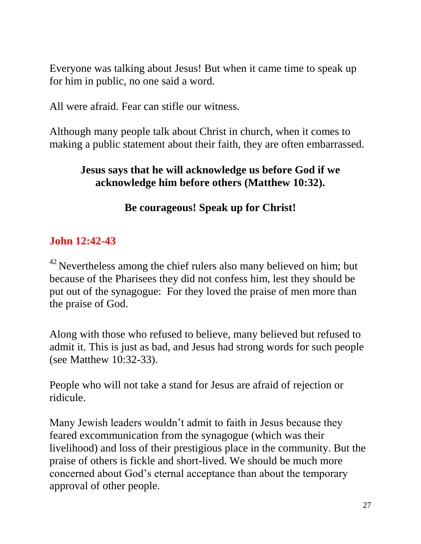Everyone was talking about Jesus! But when it came time to speak up for him in public, no one said a word.

All were afraid. Fear can stifle our witness.

Although many people talk about Christ in church, when it comes to making a public statement about their faith, they are often embarrassed.

#### **Jesus says that he will acknowledge us before God if we acknowledge him before others (Matthew 10:32).**

#### **Be courageous! Speak up for Christ!**

#### **John 12:42-43**

 $42$  Nevertheless among the chief rulers also many believed on him; but because of the Pharisees they did not confess him, lest they should be put out of the synagogue: For they loved the praise of men more than the praise of God.

Along with those who refused to believe, many believed but refused to admit it. This is just as bad, and Jesus had strong words for such people (see Matthew 10:32-33).

People who will not take a stand for Jesus are afraid of rejection or ridicule.

Many Jewish leaders wouldn't admit to faith in Jesus because they feared excommunication from the synagogue (which was their livelihood) and loss of their prestigious place in the community. But the praise of others is fickle and short-lived. We should be much more concerned about God's eternal acceptance than about the temporary approval of other people.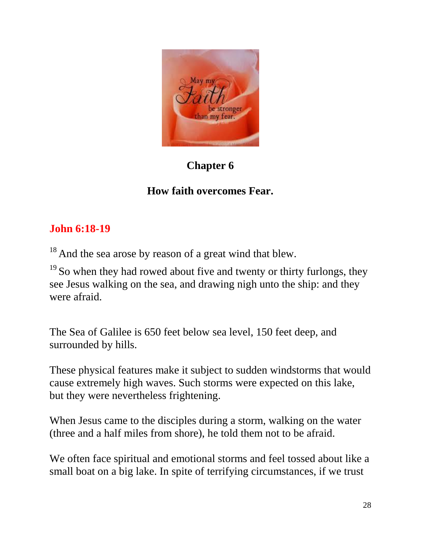

# **Chapter 6**

# **How faith overcomes Fear.**

# **John 6:18-19**

<sup>18</sup> And the sea arose by reason of a great wind that blew.

 $19$  So when they had rowed about five and twenty or thirty furlongs, they see Jesus walking on the sea, and drawing nigh unto the ship: and they were afraid.

The Sea of Galilee is 650 feet below sea level, 150 feet deep, and surrounded by hills.

These physical features make it subject to sudden windstorms that would cause extremely high waves. Such storms were expected on this lake, but they were nevertheless frightening.

When Jesus came to the disciples during a storm, walking on the water (three and a half miles from shore), he told them not to be afraid.

We often face spiritual and emotional storms and feel tossed about like a small boat on a big lake. In spite of terrifying circumstances, if we trust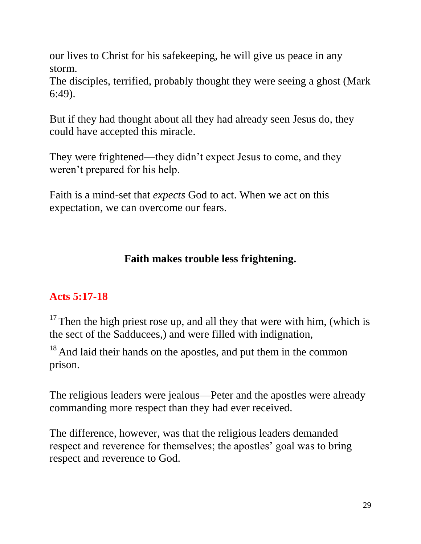our lives to Christ for his safekeeping, he will give us peace in any storm.

The disciples, terrified, probably thought they were seeing a ghost (Mark 6:49).

But if they had thought about all they had already seen Jesus do, they could have accepted this miracle.

They were frightened—they didn't expect Jesus to come, and they weren't prepared for his help.

Faith is a mind-set that *expects* God to act. When we act on this expectation, we can overcome our fears.

## **Faith makes trouble less frightening.**

## **Acts 5:17-18**

 $17$  Then the high priest rose up, and all they that were with him, (which is the sect of the Sadducees,) and were filled with indignation,

 $18$  And laid their hands on the apostles, and put them in the common prison.

The religious leaders were jealous—Peter and the apostles were already commanding more respect than they had ever received.

The difference, however, was that the religious leaders demanded respect and reverence for themselves; the apostles' goal was to bring respect and reverence to God.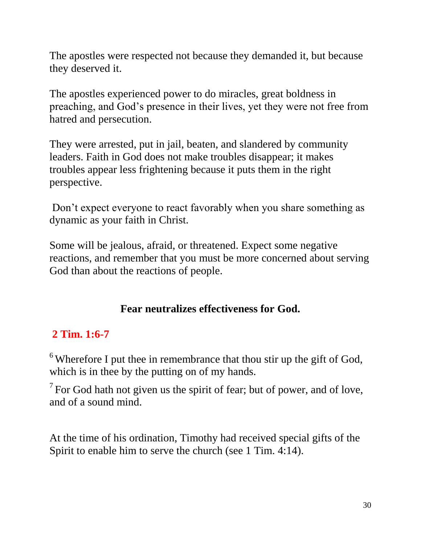The apostles were respected not because they demanded it, but because they deserved it.

The apostles experienced power to do miracles, great boldness in preaching, and God's presence in their lives, yet they were not free from hatred and persecution.

They were arrested, put in jail, beaten, and slandered by community leaders. Faith in God does not make troubles disappear; it makes troubles appear less frightening because it puts them in the right perspective.

Don't expect everyone to react favorably when you share something as dynamic as your faith in Christ.

Some will be jealous, afraid, or threatened. Expect some negative reactions, and remember that you must be more concerned about serving God than about the reactions of people.

## **Fear neutralizes effectiveness for God.**

#### **2 Tim. 1:6-7**

 $6$  Wherefore I put thee in remembrance that thou stir up the gift of God, which is in thee by the putting on of my hands.

 $7$  For God hath not given us the spirit of fear; but of power, and of love, and of a sound mind.

At the time of his ordination, Timothy had received special gifts of the Spirit to enable him to serve the church (see 1 Tim. 4:14).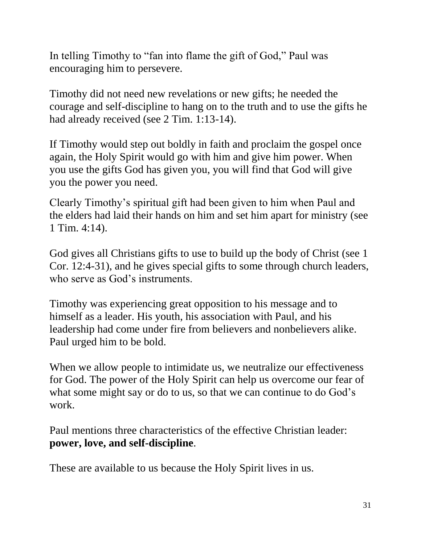In telling Timothy to "fan into flame the gift of God," Paul was encouraging him to persevere.

Timothy did not need new revelations or new gifts; he needed the courage and self-discipline to hang on to the truth and to use the gifts he had already received (see 2 Tim. 1:13-14).

If Timothy would step out boldly in faith and proclaim the gospel once again, the Holy Spirit would go with him and give him power. When you use the gifts God has given you, you will find that God will give you the power you need.

Clearly Timothy's spiritual gift had been given to him when Paul and the elders had laid their hands on him and set him apart for ministry (see 1 Tim. 4:14).

God gives all Christians gifts to use to build up the body of Christ (see 1 Cor. 12:4-31), and he gives special gifts to some through church leaders, who serve as God's instruments.

Timothy was experiencing great opposition to his message and to himself as a leader. His youth, his association with Paul, and his leadership had come under fire from believers and nonbelievers alike. Paul urged him to be bold.

When we allow people to intimidate us, we neutralize our effectiveness for God. The power of the Holy Spirit can help us overcome our fear of what some might say or do to us, so that we can continue to do God's work.

Paul mentions three characteristics of the effective Christian leader: **power, love, and self-discipline**.

These are available to us because the Holy Spirit lives in us.